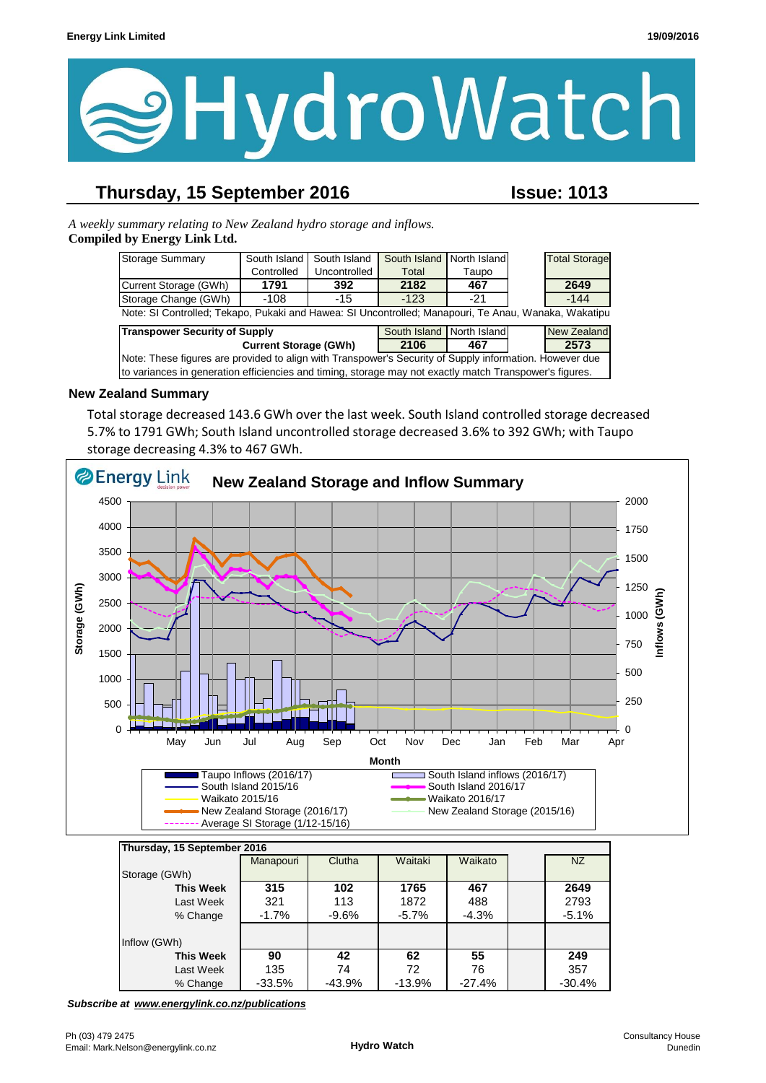

## **Thursday, 15 September 2016 Issue: 1013**

*A weekly summary relating to New Zealand hydro storage and inflows.*  **Compiled by Energy Link Ltd.**

| Storage Summary                                                                                         | South Island | South Island | South Island              | North Island |  | <b>Total Storage</b> |  |
|---------------------------------------------------------------------------------------------------------|--------------|--------------|---------------------------|--------------|--|----------------------|--|
|                                                                                                         | Controlled   | Uncontrolled | Total                     | Taupo        |  |                      |  |
| Current Storage (GWh)                                                                                   | 1791         | 392          | 2182                      | 467          |  | 2649                 |  |
| Storage Change (GWh)                                                                                    | $-108$       | -15          | $-123$                    | $-21$        |  | $-144$               |  |
| Note: SI Controlled; Tekapo, Pukaki and Hawea: SI Uncontrolled; Manapouri, Te Anau, Wanaka, Wakatipu    |              |              |                           |              |  |                      |  |
| <b>Transpower Security of Supply</b>                                                                    |              |              | South Island North Island |              |  | <b>New Zealand</b>   |  |
| <b>Current Storage (GWh)</b>                                                                            |              |              | 2106                      | 467          |  | 2573                 |  |
| Note: These figures are provided to align with Transpower's Security of Supply information. However due |              |              |                           |              |  |                      |  |
| to variances in generation efficiencies and timing, storage may not exactly match Transpower's figures. |              |              |                           |              |  |                      |  |

#### **New Zealand Summary**

Total storage decreased 143.6 GWh over the last week. South Island controlled storage decreased 5.7% to 1791 GWh; South Island uncontrolled storage decreased 3.6% to 392 GWh; with Taupo storage decreasing 4.3% to 467 GWh.



| Thursday, 15 September 2016 |           |          |          |          |  |          |  |
|-----------------------------|-----------|----------|----------|----------|--|----------|--|
|                             | Manapouri | Clutha   | Waitaki  | Waikato  |  | NZ       |  |
| Storage (GWh)               |           |          |          |          |  |          |  |
| <b>This Week</b>            | 315       | 102      | 1765     | 467      |  | 2649     |  |
| Last Week                   | 321       | 113      | 1872     | 488      |  | 2793     |  |
| % Change                    | $-1.7\%$  | $-9.6%$  | $-5.7\%$ | $-4.3%$  |  | $-5.1%$  |  |
|                             |           |          |          |          |  |          |  |
| Inflow (GWh)                |           |          |          |          |  |          |  |
| <b>This Week</b>            | 90        | 42       | 62       | 55       |  | 249      |  |
| Last Week                   | 135       | 74       | 72       | 76       |  | 357      |  |
| % Change                    | -33.5%    | $-43.9%$ | $-13.9%$ | $-27.4%$ |  | $-30.4%$ |  |

*Subscribe at www.energylink.co.nz/publications*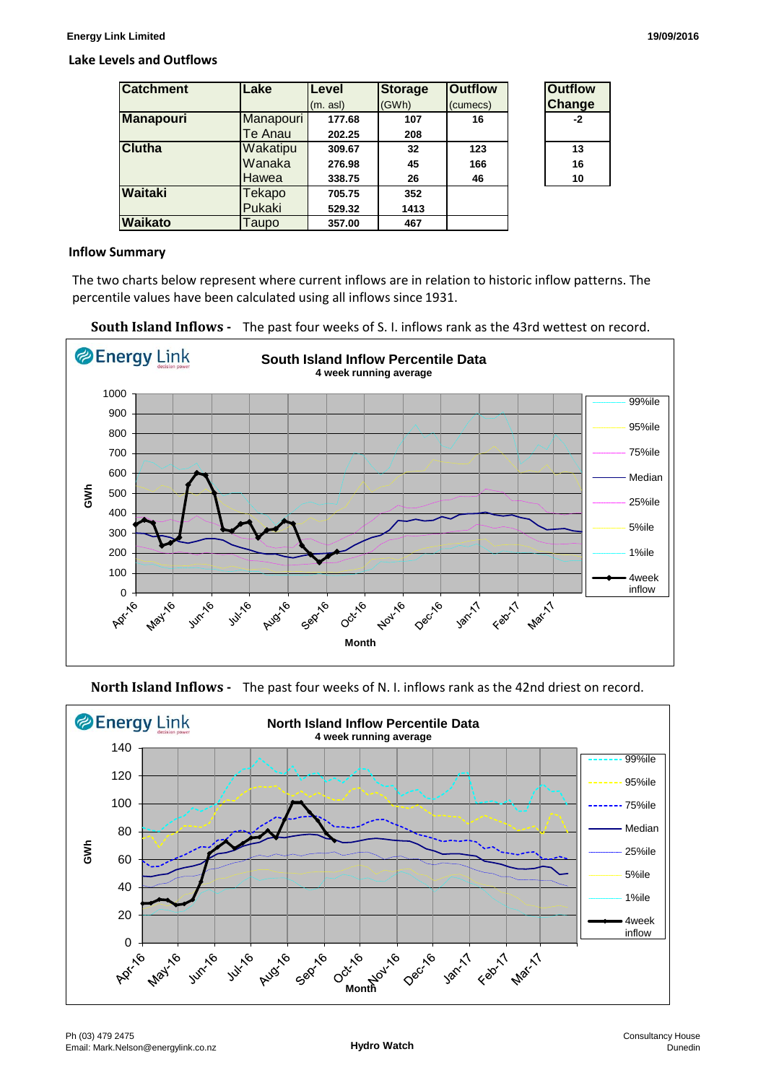#### **Lake Levels and Outflows**

| <b>Catchment</b> | Lake      | <b>Level</b> | <b>Storage</b> | <b>Outflow</b> | <b>Outflow</b> |
|------------------|-----------|--------------|----------------|----------------|----------------|
|                  |           | (m. as)      | (GWh)          | (cumecs)       | <b>Change</b>  |
| <b>Manapouri</b> | Manapouri | 177.68       | 107            | 16             | $-2$           |
|                  | Te Anau   | 202.25       | 208            |                |                |
| <b>Clutha</b>    | Wakatipu  | 309.67       | 32             | 123            | 13             |
|                  | Wanaka    | 276.98       | 45             | 166            | 16             |
|                  | Hawea     | 338.75       | 26             | 46             | 10             |
| Waitaki          | Tekapo    | 705.75       | 352            |                |                |
|                  | Pukaki    | 529.32       | 1413           |                |                |
| <b>Waikato</b>   | Taupo     | 357.00       | 467            |                |                |

#### **Inflow Summary**

The two charts below represent where current inflows are in relation to historic inflow patterns. The percentile values have been calculated using all inflows since 1931.





**North Island Inflows -** The past four weeks of N. I. inflows rank as the 42nd driest on record.

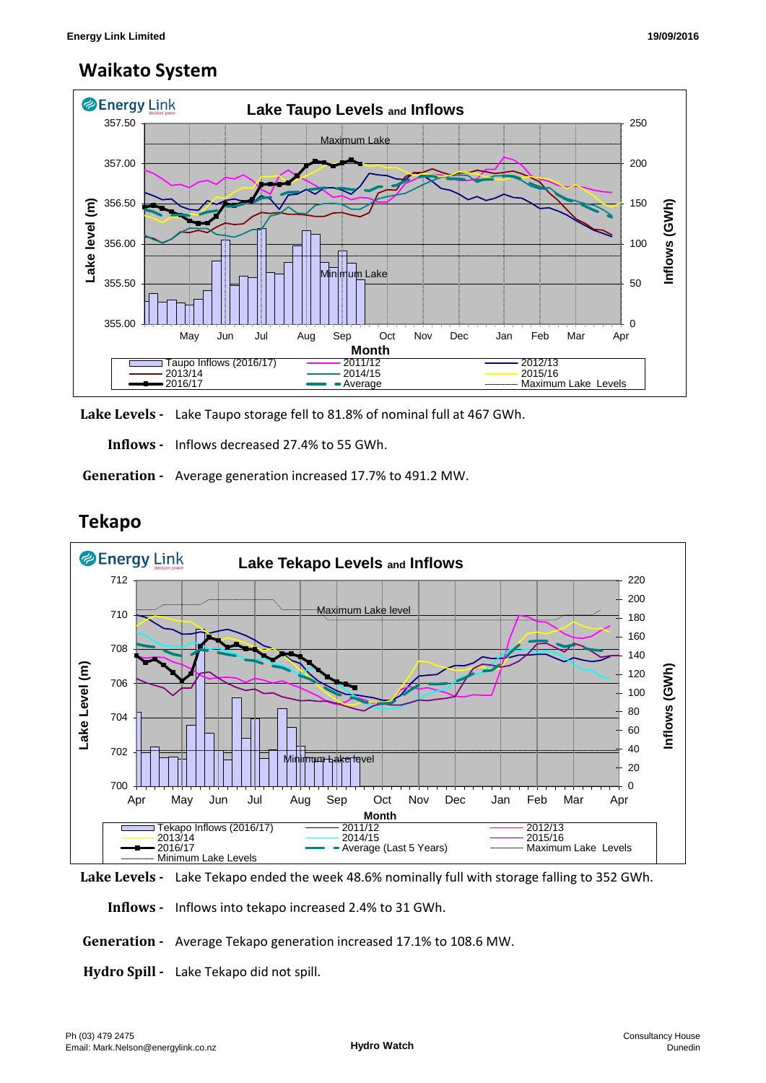### **Waikato System**



**Lake Levels -** Lake Taupo storage fell to 81.8% of nominal full at 467 GWh.

 **Inflows -** Inflows decreased 27.4% to 55 GWh.

 **Generation -** Average generation increased 17.7% to 491.2 MW.



## **Tekapo**

**Lake Levels -** Lake Tekapo ended the week 48.6% nominally full with storage falling to 352 GWh.

 **Inflows -** Inflows into tekapo increased 2.4% to 31 GWh.

 **Generation -** Average Tekapo generation increased 17.1% to 108.6 MW.

**Hydro Spill -** Lake Tekapo did not spill.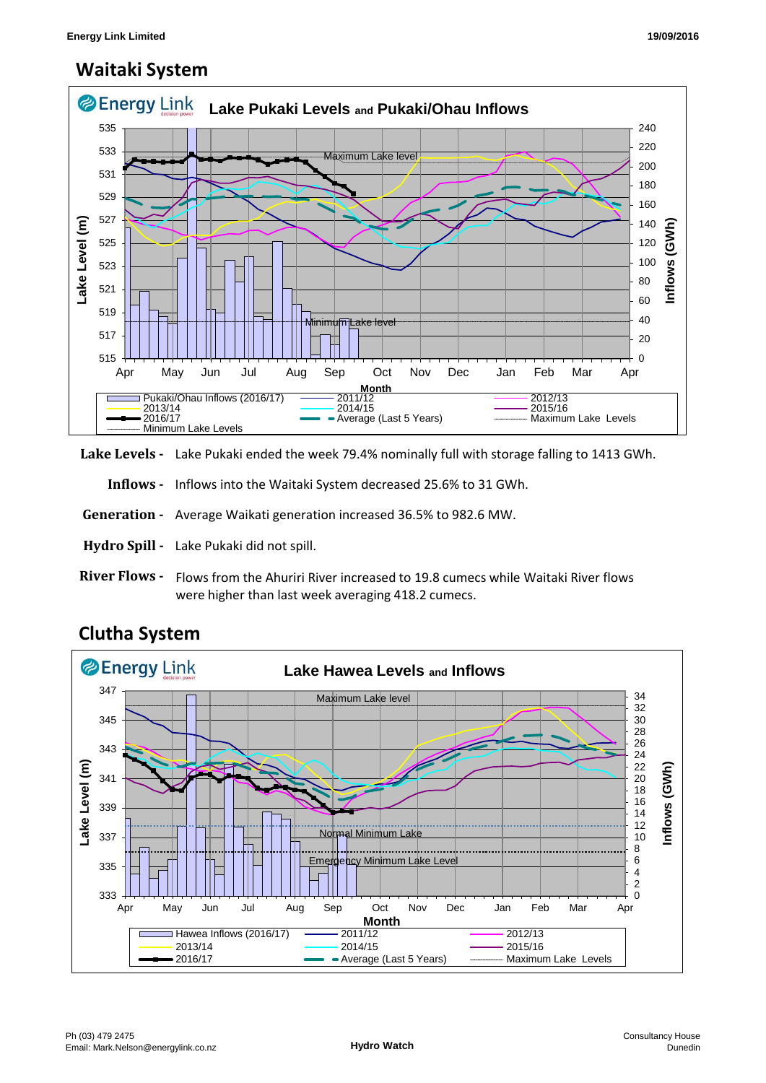### **Waitaki System**



**Lake Levels -** Lake Pukaki ended the week 79.4% nominally full with storage falling to 1413 GWh.

 **Inflows -** Inflows into the Waitaki System decreased 25.6% to 31 GWh.

 **Generation -** Average Waikati generation increased 36.5% to 982.6 MW.

**Hydro Spill -** Lake Pukaki did not spill.

**River Flows -**  Flows from the Ahuriri River increased to 19.8 cumecs while Waitaki River flows were higher than last week averaging 418.2 cumecs.



# **Clutha System**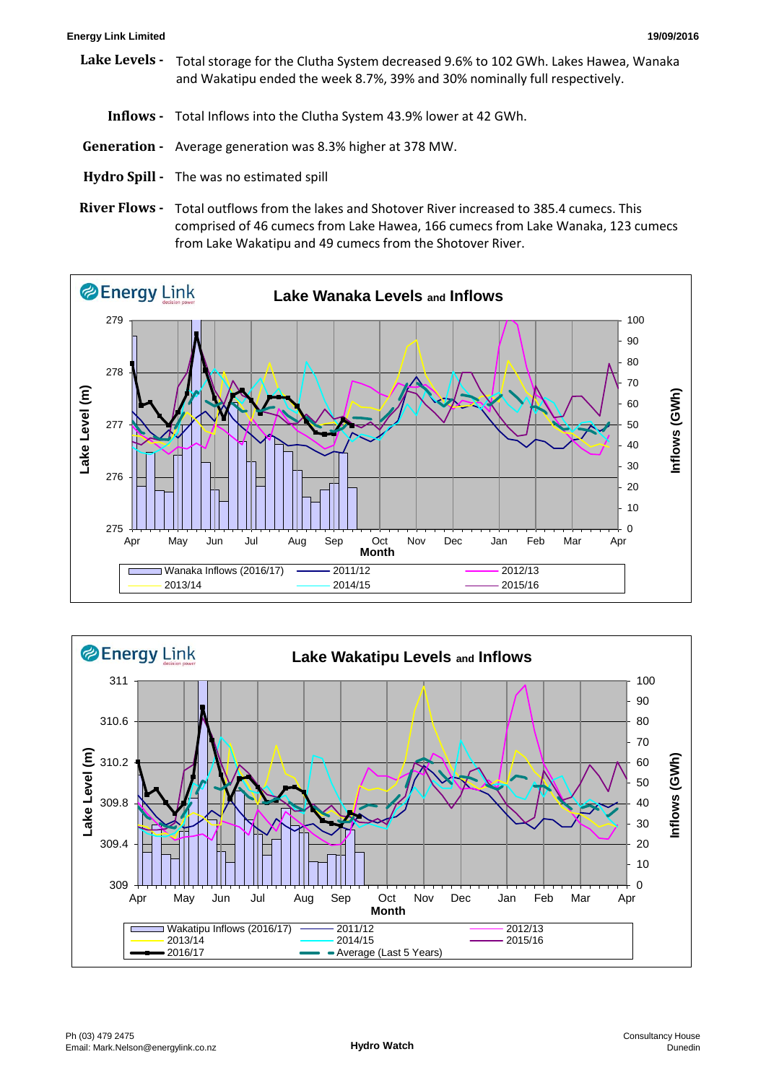#### **Energy Link Limited 19/09/2016**

- **Lake Levels**  Total storage for the Clutha System decreased 9.6% to 102 GWh. Lakes Hawea, Wanaka and Wakatipu ended the week 8.7%, 39% and 30% nominally full respectively.
	- **Inflows** Total Inflows into the Clutha System 43.9% lower at 42 GWh.
- **Generation** Average generation was 8.3% higher at 378 MW.
- **Hydro Spill** The was no estimated spill
- River Flows Total outflows from the lakes and Shotover River increased to 385.4 cumecs. This comprised of 46 cumecs from Lake Hawea, 166 cumecs from Lake Wanaka, 123 cumecs from Lake Wakatipu and 49 cumecs from the Shotover River.